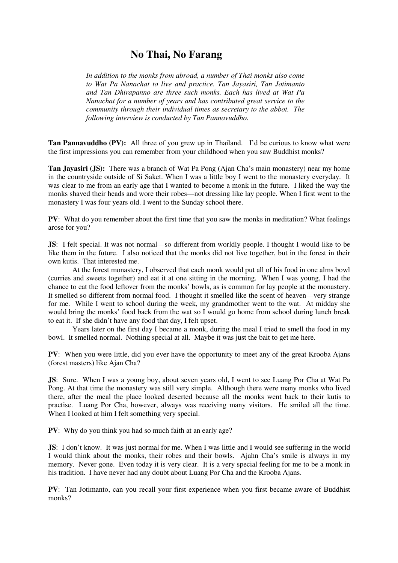## **No Thai, No Farang**

*In addition to the monks from abroad, a number of Thai monks also come to Wat Pa Nanachat to live and practice. Tan Jayasiri, Tan Jotimanto and Tan Dhirapanno are three such monks. Each has lived at Wat Pa Nanachat for a number of years and has contributed great service to the community through their individual times as secretary to the abbot. The following interview is conducted by Tan Pannavuddho.*

**Tan Pannavuddho (PV):** All three of you grew up in Thailand. I'd be curious to know what were the first impressions you can remember from your childhood when you saw Buddhist monks?

**Tan Jayasiri (JS):** There was a branch of Wat Pa Pong (Ajan Cha's main monastery) near my home in the countryside outside of Si Saket. When I was a little boy I went to the monastery everyday. It was clear to me from an early age that I wanted to become a monk in the future. I liked the way the monks shaved their heads and wore their robes—not dressing like lay people. When I first went to the monastery I was four years old. I went to the Sunday school there.

**PV**: What do you remember about the first time that you saw the monks in meditation? What feelings arose for you?

**JS**: I felt special. It was not normal—so different from worldly people. I thought I would like to be like them in the future. I also noticed that the monks did not live together, but in the forest in their own kutis. That interested me.

At the forest monastery, I observed that each monk would put all of his food in one alms bowl (curries and sweets together) and eat it at one sitting in the morning. When I was young, I had the chance to eat the food leftover from the monks' bowls, as is common for lay people at the monastery. It smelled so different from normal food. I thought it smelled like the scent of heaven—very strange for me. While I went to school during the week, my grandmother went to the wat. At midday she would bring the monks' food back from the wat so I would go home from school during lunch break to eat it. If she didn't have any food that day, I felt upset.

Years later on the first day I became a monk, during the meal I tried to smell the food in my bowl. It smelled normal. Nothing special at all. Maybe it was just the bait to get me here.

**PV**: When you were little, did you ever have the opportunity to meet any of the great Krooba Ajans (forest masters) like Ajan Cha?

**JS**: Sure. When I was a young boy, about seven years old, I went to see Luang Por Cha at Wat Pa Pong. At that time the monastery was still very simple. Although there were many monks who lived there, after the meal the place looked deserted because all the monks went back to their kutis to practise. Luang Por Cha, however, always was receiving many visitors. He smiled all the time. When I looked at him I felt something very special.

**PV**: Why do you think you had so much faith at an early age?

**JS**: I don't know. It was just normal for me. When I was little and I would see suffering in the world I would think about the monks, their robes and their bowls. Ajahn Cha's smile is always in my memory. Never gone. Even today it is very clear. It is a very special feeling for me to be a monk in his tradition. I have never had any doubt about Luang Por Cha and the Krooba Ajans.

**PV**: Tan Jotimanto, can you recall your first experience when you first became aware of Buddhist monks?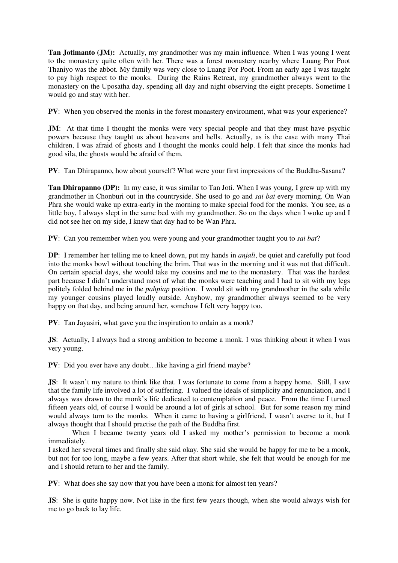**Tan Jotimanto (JM):** Actually, my grandmother was my main influence. When I was young I went to the monastery quite often with her. There was a forest monastery nearby where Luang Por Poot Thaniyo was the abbot. My family was very close to Luang Por Poot. From an early age I was taught to pay high respect to the monks. During the Rains Retreat, my grandmother always went to the monastery on the Uposatha day, spending all day and night observing the eight precepts. Sometime I would go and stay with her.

**PV**: When you observed the monks in the forest monastery environment, what was your experience?

**JM**: At that time I thought the monks were very special people and that they must have psychic powers because they taught us about heavens and hells. Actually, as is the case with many Thai children, I was afraid of ghosts and I thought the monks could help. I felt that since the monks had good sila, the ghosts would be afraid of them.

**PV**: Tan Dhirapanno, how about yourself? What were your first impressions of the Buddha-Sasana?

**Tan Dhirapanno (DP):** In my case, it was similar to Tan Joti. When I was young, I grew up with my grandmother in Chonburi out in the countryside. She used to go and *sai bat* every morning. On Wan Phra she would wake up extra-early in the morning to make special food for the monks. You see, as a little boy, I always slept in the same bed with my grandmother. So on the days when I woke up and I did not see her on my side, I knew that day had to be Wan Phra.

**PV**: Can you remember when you were young and your grandmother taught you to *sai bat*?

**DP**: I remember her telling me to kneel down, put my hands in *anjali*, be quiet and carefully put food into the monks bowl without touching the brim. That was in the morning and it was not that difficult. On certain special days, she would take my cousins and me to the monastery. That was the hardest part because I didn't understand most of what the monks were teaching and I had to sit with my legs politely folded behind me in the *pahpiap* position. I would sit with my grandmother in the sala while my younger cousins played loudly outside. Anyhow, my grandmother always seemed to be very happy on that day, and being around her, somehow I felt very happy too.

**PV**: Tan Jayasiri, what gave you the inspiration to ordain as a monk?

**JS**: Actually, I always had a strong ambition to become a monk. I was thinking about it when I was very young,

**PV**: Did you ever have any doubt...like having a girl friend maybe?

**JS:** It wasn't my nature to think like that. I was fortunate to come from a happy home. Still, I saw that the family life involved a lot of suffering. I valued the ideals of simplicity and renunciation, and I always was drawn to the monk's life dedicated to contemplation and peace. From the time I turned fifteen years old, of course I would be around a lot of girls at school. But for some reason my mind would always turn to the monks. When it came to having a girlfriend, I wasn't averse to it, but I always thought that I should practise the path of the Buddha first.

When I became twenty years old I asked my mother's permission to become a monk immediately.

I asked her several times and finally she said okay. She said she would be happy for me to be a monk, but not for too long, maybe a few years. After that short while, she felt that would be enough for me and I should return to her and the family.

**PV**: What does she say now that you have been a monk for almost ten years?

**JS**: She is quite happy now. Not like in the first few years though, when she would always wish for me to go back to lay life.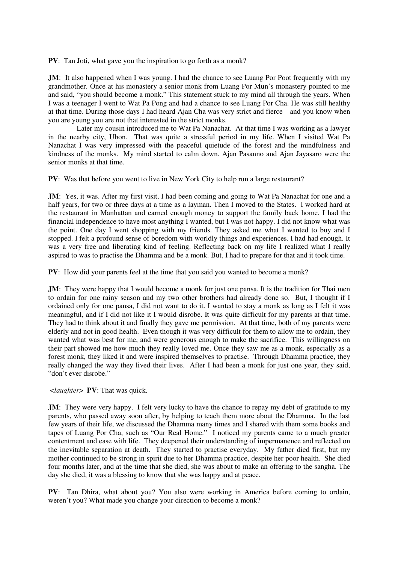**PV**: Tan Joti, what gave you the inspiration to go forth as a monk?

**JM**: It also happened when I was young. I had the chance to see Luang Por Poot frequently with my grandmother. Once at his monastery a senior monk from Luang Por Mun's monastery pointed to me and said, "you should become a monk." This statement stuck to my mind all through the years. When I was a teenager I went to Wat Pa Pong and had a chance to see Luang Por Cha. He was still healthy at that time. During those days I had heard Ajan Cha was very strict and fierce— and you know when you are young you are not that interested in the strict monks.

Later my cousin introduced me to Wat Pa Nanachat. At that time I was working as a lawyer in the nearby city, Ubon. That was quite a stressful period in my life. When I visited Wat Pa Nanachat I was very impressed with the peaceful quietude of the forest and the mindfulness and kindness of the monks. My mind started to calm down. Ajan Pasanno and Ajan Jayasaro were the senior monks at that time.

**PV**: Was that before you went to live in New York City to help run a large restaurant?

**JM**: Yes, it was. After my first visit, I had been coming and going to Wat Pa Nanachat for one and a half years, for two or three days at a time as a layman. Then I moved to the States. I worked hard at the restaurant in Manhattan and earned enough money to support the family back home. I had the financial independence to have most anything I wanted, but I was not happy. I did not know what was the point. One day I went shopping with my friends. They asked me what I wanted to buy and I stopped. I felt a profound sense of boredom with worldly things and experiences. I had had enough. It was a very free and liberating kind of feeling. Reflecting back on my life I realized what I really aspired to was to practise the Dhamma and be a monk. But, I had to prepare for that and it took time.

**PV**: How did your parents feel at the time that you said you wanted to become a monk?

**JM**: They were happy that I would become a monk for just one pansa. It is the tradition for Thai men to ordain for one rainy season and my two other brothers had already done so. But, I thought if I ordained only for one pansa, I did not want to do it. I wanted to stay a monk as long as I felt it was meaningful, and if I did not like it I would disrobe. It was quite difficult for my parents at that time. They had to think about it and finally they gave me permission. At that time, both of my parents were elderly and not in good health. Even though it was very difficult for them to allow me to ordain, they wanted what was best for me, and were generous enough to make the sacrifice. This willingness on their part showed me how much they really loved me. Once they saw me as a monk, especially as a forest monk, they liked it and were inspired themselves to practise. Through Dhamma practice, they really changed the way they lived their lives. After I had been a monk for just one year, they said, "don't ever disrobe."

<*laughter*> **PV**: That was quick.

**JM**: They were very happy. I felt very lucky to have the chance to repay my debt of gratitude to my parents, who passed away soon after, by helping to teach them more about the Dhamma. In the last few years of their life, we discussed the Dhamma many times and I shared with them some books and tapes of Luang Por Cha, such as "Our Real Home." I noticed my parents came to a much greater contentment and ease with life. They deepened their understanding of impermanence and reflected on the inevitable separation at death. They started to practise everyday. My father died first, but my mother continued to be strong in spirit due to her Dhamma practice, despite her poor health. She died four months later, and at the time that she died, she was about to make an offering to the sangha. The day she died, it was a blessing to know that she was happy and at peace.

**PV**: Tan Dhira, what about you? You also were working in America before coming to ordain, weren't you? What made you change your direction to become a monk?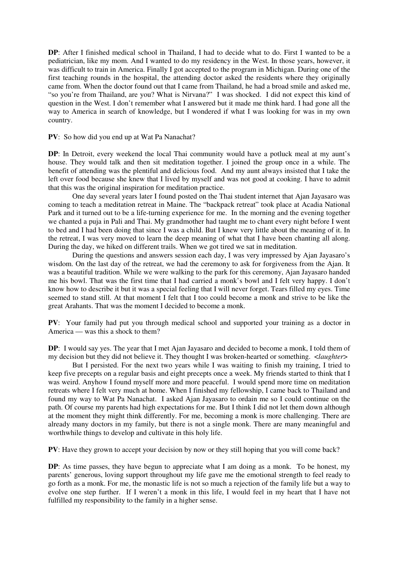**DP**: After I finished medical school in Thailand, I had to decide what to do. First I wanted to be a pediatrician, like my mom. And I wanted to do my residency in the West. In those years, however, it was difficult to train in America. Finally I got accepted to the program in Michigan. During one of the first teaching rounds in the hospital, the attending doctor asked the residents where they originally came from. When the doctor found out that I came from Thailand, he had a broad smile and asked me, "so you're from Thailand, are you? What is Nirvana?" I was shocked. I did not expect this kind of question in the West. I don't remember what I answered but it made me think hard. I had gone all the way to America in search of knowledge, but I wondered if what I was looking for was in my own country.

**PV**: So how did you end up at Wat Pa Nanachat?

**DP**: In Detroit, every weekend the local Thai community would have a potluck meal at my aunt's house. They would talk and then sit meditation together. I joined the group once in a while. The benefit of attending was the plentiful and delicious food. And my aunt always insisted that I take the left over food because she knew that I lived by myself and was not good at cooking. I have to admit that this was the original inspiration for meditation practice.

One day several years later I found posted on the Thai student internet that Ajan Jayasaro was coming to teach a meditation retreat in Maine. The " backpack retreat" took place at Acadia National Park and it turned out to be a life-turning experience for me. In the morning and the evening together we chanted a puja in Pali and Thai. My grandmother had taught me to chant every night before I went to bed and I had been doing that since I was a child. But I knew very little about the meaning of it. In the retreat, I was very moved to learn the deep meaning of what that I have been chanting all along. During the day, we hiked on different trails. When we got tired we sat in meditation.

During the questions and answers session each day, I was very impressed by Ajan Jayasaro's wisdom. On the last day of the retreat, we had the ceremony to ask for forgiveness from the Ajan. It was a beautiful tradition. While we were walking to the park for this ceremony, Ajan Jayasaro handed me his bowl. That was the first time that I had carried a monk's bowl and I felt very happy. I don' t know how to describe it but it was a special feeling that I will never forget. Tears filled my eyes. Time seemed to stand still. At that moment I felt that I too could become a monk and strive to be like the great Arahants. That was the moment I decided to become a monk.

**PV**: Your family had put you through medical school and supported your training as a doctor in America — was this a shock to them?

**DP**: I would say yes. The year that I met Ajan Jayasaro and decided to become a monk, I told them of my decision but they did not believe it. They thought I was broken-hearted or something. <*laughter*>

But I persisted. For the next two years while I was waiting to finish my training, I tried to keep five precepts on a regular basis and eight precepts once a week. My friends started to think that I was weird. Anyhow I found myself more and more peaceful. I would spend more time on meditation retreats where I felt very much at home. When I finished my fellowship, I came back to Thailand and found my way to Wat Pa Nanachat. I asked Ajan Jayasaro to ordain me so I could continue on the path. Of course my parents had high expectations for me. But I think I did not let them down although at the moment they might think differently. For me, becoming a monk is more challenging. There are already many doctors in my family, but there is not a single monk. There are many meaningful and worthwhile things to develop and cultivate in this holy life.

**PV**: Have they grown to accept your decision by now or they still hoping that you will come back?

**DP**: As time passes, they have begun to appreciate what I am doing as a monk. To be honest, my parents' generous, loving support throughout my life gave me the emotional strength to feel ready to go forth as a monk. For me, the monastic life is not so much a rejection of the family life but a way to evolve one step further. If I weren't a monk in this life, I would feel in my heart that I have not fulfilled my responsibility to the family in a higher sense.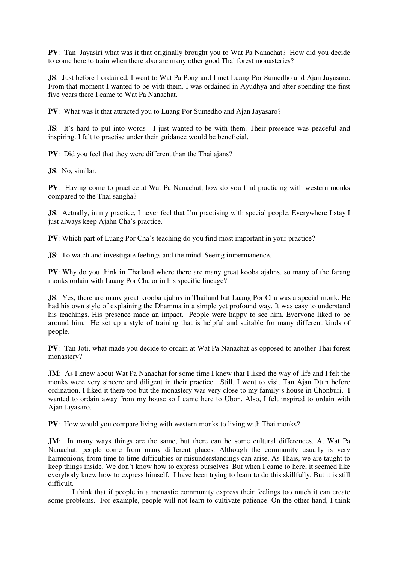**PV**: Tan Jayasiri what was it that originally brought you to Wat Pa Nanachat? How did you decide to come here to train when there also are many other good Thai forest monasteries?

**JS**: Just before I ordained, I went to Wat Pa Pong and I met Luang Por Sumedho and Ajan Jayasaro. From that moment I wanted to be with them. I was ordained in Ayudhya and after spending the first five years there I came to Wat Pa Nanachat.

**PV**: What was it that attracted you to Luang Por Sumedho and Ajan Jayasaro?

**JS**: It's hard to put into words—I just wanted to be with them. Their presence was peaceful and inspiring. I felt to practise under their guidance would be beneficial.

**PV**: Did you feel that they were different than the Thai ajans?

**JS**: No, similar.

**PV**: Having come to practice at Wat Pa Nanachat, how do you find practicing with western monks compared to the Thai sangha?

**JS**: Actually, in my practice, I never feel that I'm practising with special people. Everywhere I stay I just always keep Ajahn Cha's practice.

**PV**: Which part of Luang Por Cha's teaching do you find most important in your practice?

**JS:** To watch and investigate feelings and the mind. Seeing impermanence.

**PV**: Why do you think in Thailand where there are many great kooba ajahns, so many of the farang monks ordain with Luang Por Cha or in his specific lineage?

**JS**: Yes, there are many great krooba ajahns in Thailand but Luang Por Cha was a special monk. He had his own style of explaining the Dhamma in a simple yet profound way. It was easy to understand his teachings. His presence made an impact. People were happy to see him. Everyone liked to be around him. He set up a style of training that is helpful and suitable for many different kinds of people.

**PV**: Tan Joti, what made you decide to ordain at Wat Pa Nanachat as opposed to another Thai forest monastery?

**JM**: As I knew about Wat Pa Nanachat for some time I knew that I liked the way of life and I felt the monks were very sincere and diligent in their practice. Still, I went to visit Tan Ajan Dtun before ordination. I liked it there too but the monastery was very close to my family's house in Chonburi. I wanted to ordain away from my house so I came here to Ubon. Also, I felt inspired to ordain with Ajan Jayasaro.

**PV**: How would you compare living with western monks to living with Thai monks?

**JM**: In many ways things are the same, but there can be some cultural differences. At Wat Pa Nanachat, people come from many different places. Although the community usually is very harmonious, from time to time difficulties or misunderstandings can arise. As Thais, we are taught to keep things inside. We don't know how to express ourselves. But when I came to here, it seemed like everybody knew how to express himself. I have been trying to learn to do this skillfully. But it is still difficult.

I think that if people in a monastic community express their feelings too much it can create some problems. For example, people will not learn to cultivate patience. On the other hand, I think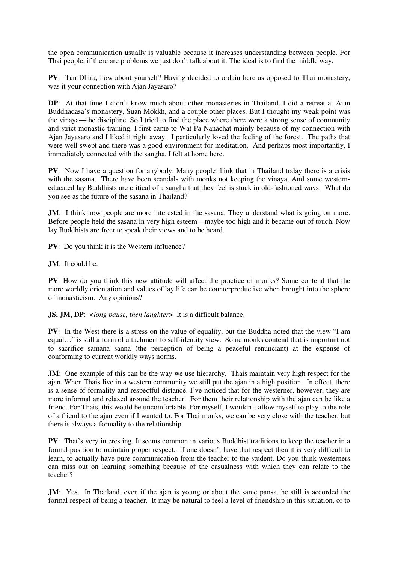the open communication usually is valuable because it increases understanding between people. For Thai people, if there are problems we just don't talk about it. The ideal is to find the middle way.

**PV**: Tan Dhira, how about yourself? Having decided to ordain here as opposed to Thai monastery, was it your connection with Ajan Jayasaro?

**DP**: At that time I didn't know much about other monasteries in Thailand. I did a retreat at Ajan Buddhadasa's monastery, Suan Mokkh, and a couple other places. But I thought my weak point was the vinaya— the discipline. So I tried to find the place where there were a strong sense of community and strict monastic training. I first came to Wat Pa Nanachat mainly because of my connection with Ajan Jayasaro and I liked it right away. I particularly loved the feeling of the forest. The paths that were well swept and there was a good environment for meditation. And perhaps most importantly, I immediately connected with the sangha. I felt at home here.

**PV:** Now I have a question for anybody. Many people think that in Thailand today there is a crisis with the sasana. There have been scandals with monks not keeping the vinaya. And some westerneducated lay Buddhists are critical of a sangha that they feel is stuck in old-fashioned ways. What do you see as the future of the sasana in Thailand?

**JM**: I think now people are more interested in the sasana. They understand what is going on more. Before people held the sasana in very high esteem— maybe too high and it became out of touch. Now lay Buddhists are freer to speak their views and to be heard.

**PV**: Do you think it is the Western influence?

**JM**: It could be.

**PV**: How do you think this new attitude will affect the practice of monks? Some contend that the more worldly orientation and values of lay life can be counterproductive when brought into the sphere of monasticism. Any opinions?

**JS, JM, DP**: <*long pause, then laughter*> It is a difficult balance.

**PV:** In the West there is a stress on the value of equality, but the Buddha noted that the view "I am equal…" is still a form of attachment to self-identity view. Some monks contend that is important not to sacrifice samana sanna (the perception of being a peaceful renunciant) at the expense of conforming to current worldly ways norms.

**JM**: One example of this can be the way we use hierarchy. Thais maintain very high respect for the ajan. When Thais live in a western community we still put the ajan in a high position. In effect, there is a sense of formality and respectful distance. I've noticed that for the westerner, however, they are more informal and relaxed around the teacher. For them their relationship with the ajan can be like a friend. For Thais, this would be uncomfortable. For myself, I wouldn't allow myself to play to the role of a friend to the ajan even if I wanted to. For Thai monks, we can be very close with the teacher, but there is always a formality to the relationship.

**PV**: That's very interesting. It seems common in various Buddhist traditions to keep the teacher in a formal position to maintain proper respect. If one doesn't have that respect then it is very difficult to learn, to actually have pure communication from the teacher to the student. Do you think westerners can miss out on learning something because of the casualness with which they can relate to the teacher?

**JM**: Yes. In Thailand, even if the ajan is young or about the same pansa, he still is accorded the formal respect of being a teacher. It may be natural to feel a level of friendship in this situation, or to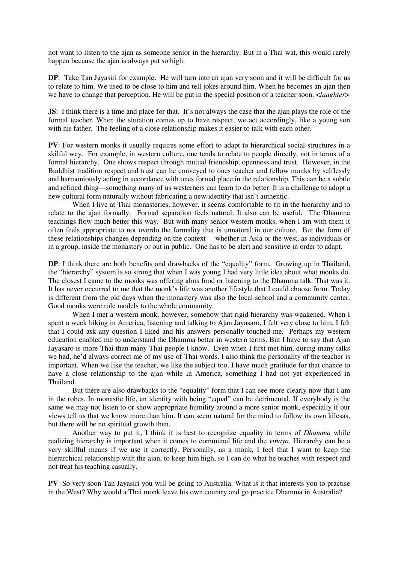not want to listen to the ajan as someone senior in the hierarchy. But in a Thai wat, this would rarely happen because the ajan is always put so high.

**DP**: Take Tan Jayasiri for example. He will turn into an ajan very soon and it will be difficult for us to relate to him. We used to be close to him and tell jokes around him. When he becomes an ajan then we have to change that perception. He will be put in the special position of a teacher soon.  $\langle \text{language} | \rangle$ 

**JS**: I think there is a time and place for that. It's not always the case that the ajan plays the role of the formal teacher. When the situation comes up to have respect, we act accordingly, like a young son with his father. The feeling of a close relationship makes it easier to talk with each other.

**PV**: For western monks it usually requires some effort to adapt to hierarchical social structures in a skilful way. For example, in western culture, one tends to relate to people directly, not in terms of a formal hierarchy. One shows respect through mutual friendship, openness and trust. However, in the Buddhist tradition respect and trust can be conveyed to ones teacher and fellow monks by selflessly and harmoniously acting in accordance with ones formal place in the relationship. This can be a subtle and refined thing— something many of us westerners can learn to do better. It is a challenge to adopt a new cultural form naturally without fabricating a new identity that isn't authentic.

When I live at Thai monasteries, however, it seems comfortable to fit in the hierarchy and to relate to the ajan formally. Formal separation feels natural. It also can be useful. The Dhamma teachings flow much better this way. But with many senior western monks, when I am with them it often feels appropriate to not overdo the formality that is unnatural in our culture. But the form of these relationships changes depending on the context — whether in Asia or the west, as individuals or in a group, inside the monastery or out in public. One has to be alert and sensitive in order to adapt.

**DP**: I think there are both benefits and drawbacks of the "equality" form. Growing up in Thailand, the " hierarchy" system is so strong that when I was young I had very little idea about what monks do. The closest I came to the monks was offering alms food or listening to the Dhamma talk. That was it. It has never occurred to me that the monk's life was another lifestyle that I could choose from. Today is different from the old days when the monastery was also the local school and a community center. Good monks were role models to the whole community.

When I met a western monk, however, somehow that rigid hierarchy was weakened. When I spent a week hiking in America, listening and talking to Ajan Jayasaro, I felt very close to him. I felt that I could ask any question I liked and his answers personally touched me. Perhaps my western education enabled me to understand the Dhamma better in western terms. But I have to say that Ajan Jayasaro is more Thai than many Thai people I know. Even when I first met him, during many talks we had, he'd always correct me of my use of Thai words. I also think the personality of the teacher is important. When we like the teacher, we like the subject too. I have much gratitude for that chance to have a close relationship to the ajan while in America, something I had not yet experienced in Thailand.

But there are also drawbacks to the "equality" form that I can see more clearly now that I am in the robes. In monastic life, an identity with being " equal" can be detrimental. If everybody is the same we may not listen to or show appropriate humility around a more senior monk, especially if our views tell us that we know more than him. It can seem natural for the mind to follow its own kilesas, but there will be no spiritual growth then.

Another way to put it, I think it is best to recognize equality in terms of *Dhamma* while realizing hierarchy is important when it comes to communal life and the *vinaya*. Hierarchy can be a very skillful means if we use it correctly. Personally, as a monk, I feel that I want to keep the hierarchical relationship with the ajan, to keep him high, so I can do what he teaches with respect and not treat his teaching casually.

**PV**: So very soon Tan Jayasiri you will be going to Australia. What is it that interests you to practise in the West? Why would a Thai monk leave his own country and go practice Dhamma in Australia?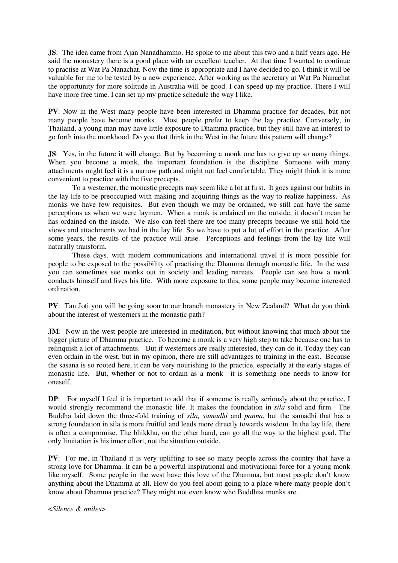**JS**: The idea came from Ajan Nanadhammo. He spoke to me about this two and a half years ago. He said the monastery there is a good place with an excellent teacher. At that time I wanted to continue to practise at Wat Pa Nanachat. Now the time is appropriate and I have decided to go. I think it will be valuable for me to be tested by a new experience. After working as the secretary at Wat Pa Nanachat the opportunity for more solitude in Australia will be good. I can speed up my practice. There I will have more free time. I can set up my practice schedule the way I like.

**PV**: Now in the West many people have been interested in Dhamma practice for decades, but not many people have become monks. Most people prefer to keep the lay practice. Conversely, in Thailand, a young man may have little exposure to Dhamma practice, but they still have an interest to go forth into the monkhood. Do you that think in the West in the future this pattern will change?

**JS**: Yes, in the future it will change. But by becoming a monk one has to give up so many things. When you become a monk, the important foundation is the discipline. Someone with many attachments might feel it is a narrow path and might not feel comfortable. They might think it is more convenient to practice with the five precepts.

To a westerner, the monastic precepts may seem like a lot at first. It goes against our habits in the lay life to be preoccupied with making and acquiring things as the way to realize happiness. As monks we have few requisites. But even though we may be ordained, we still can have the same perceptions as when we were laymen. When a monk is ordained on the outside, it doesn't mean he has ordained on the inside. We also can feel there are too many precepts because we still hold the views and attachments we had in the lay life. So we have to put a lot of effort in the practice. After some years, the results of the practice will arise. Perceptions and feelings from the lay life will naturally transform.

These days, with modern communications and international travel it is more possible for people to be exposed to the possibility of practising the Dhamma through monastic life. In the west you can sometimes see monks out in society and leading retreats. People can see how a monk conducts himself and lives his life. With more exposure to this, some people may become interested ordination.

**PV**: Tan Joti you will be going soon to our branch monastery in New Zealand? What do you think about the interest of westerners in the monastic path?

**JM**: Now in the west people are interested in meditation, but without knowing that much about the bigger picture of Dhamma practice. To become a monk is a very high step to take because one has to relinquish a lot of attachments. But if westerners are really interested, they can do it. Today they can even ordain in the west, but in my opinion, there are still advantages to training in the east. Because the sasana is so rooted here, it can be very nourishing to the practice, especially at the early stages of monastic life. But, whether or not to ordain as a monk— it is something one needs to know for oneself.

**DP**: For myself I feel it is important to add that if someone is really seriously about the practice, I would strongly recommend the monastic life. It makes the foundation in *sila* solid and firm. The Buddha laid down the three-fold training of *sila, samadhi* and *panna*, but the samadhi that has a strong foundation in sila is more fruitful and leads more directly towards wisdom. In the lay life, there is often a compromise. The bhikkhu, on the other hand, can go all the way to the highest goal. The only limitation is his inner effort, not the situation outside.

**PV:** For me, in Thailand it is very uplifting to see so many people across the country that have a strong love for Dhamma. It can be a powerful inspirational and motivational force for a young monk like myself. Some people in the west have this love of the Dhamma, but most people don't know anything about the Dhamma at all. How do you feel about going to a place where many people don't know about Dhamma practice? They might not even know who Buddhist monks are.

<*Silence & smiles*>